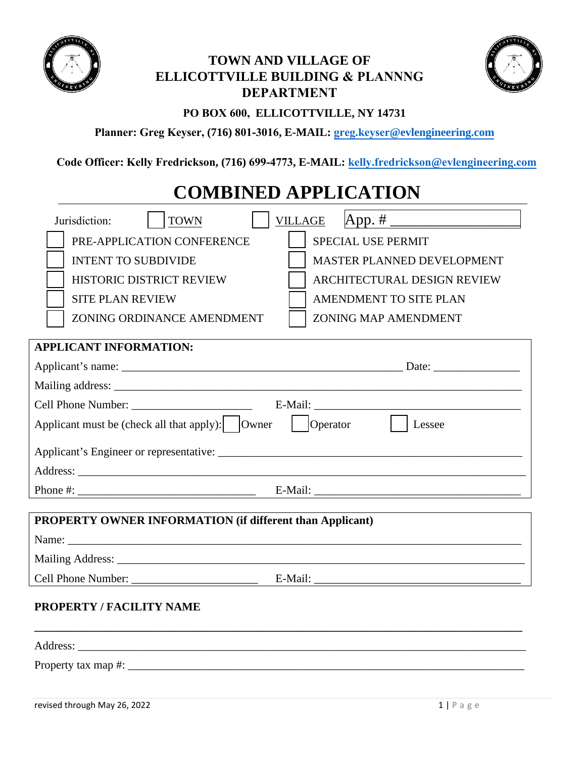

# **TOWN AND VILLAGE OF ELLICOTTVILLE BUILDING & PLANNNG DEPARTMENT**



# **PO BOX 600, ELLICOTTVILLE, NY 14731**

**Planner: Greg Keyser, (716) 801-3016, E-MAIL: greg.keyser@evlengineering.com**

**Code Officer: Kelly Fredrickson, (716) 699-4773, E-MAIL: kelly.fredrickson@evlengineering.com**

# **COMBINED APPLICATION**

| App. # ______________________<br><b>VILLAGE</b><br>Jurisdiction:<br><b>TOWN</b>       |  |  |  |  |  |
|---------------------------------------------------------------------------------------|--|--|--|--|--|
| PRE-APPLICATION CONFERENCE<br>SPECIAL USE PERMIT                                      |  |  |  |  |  |
| MASTER PLANNED DEVELOPMENT<br><b>INTENT TO SUBDIVIDE</b>                              |  |  |  |  |  |
| <b>HISTORIC DISTRICT REVIEW</b><br>ARCHITECTURAL DESIGN REVIEW                        |  |  |  |  |  |
| <b>SITE PLAN REVIEW</b><br>AMENDMENT TO SITE PLAN                                     |  |  |  |  |  |
| <b>ZONING MAP AMENDMENT</b><br>ZONING ORDINANCE AMENDMENT                             |  |  |  |  |  |
| <b>APPLICANT INFORMATION:</b>                                                         |  |  |  |  |  |
|                                                                                       |  |  |  |  |  |
|                                                                                       |  |  |  |  |  |
|                                                                                       |  |  |  |  |  |
| Applicant must be (check all that apply): $\vert$ $\vert$ Owner<br>Operator<br>Lessee |  |  |  |  |  |
|                                                                                       |  |  |  |  |  |
|                                                                                       |  |  |  |  |  |
|                                                                                       |  |  |  |  |  |
| PROPERTY OWNER INFORMATION (if different than Applicant)                              |  |  |  |  |  |
|                                                                                       |  |  |  |  |  |
|                                                                                       |  |  |  |  |  |
|                                                                                       |  |  |  |  |  |
| <b>PROPERTY / FACILITY NAME</b>                                                       |  |  |  |  |  |
|                                                                                       |  |  |  |  |  |
|                                                                                       |  |  |  |  |  |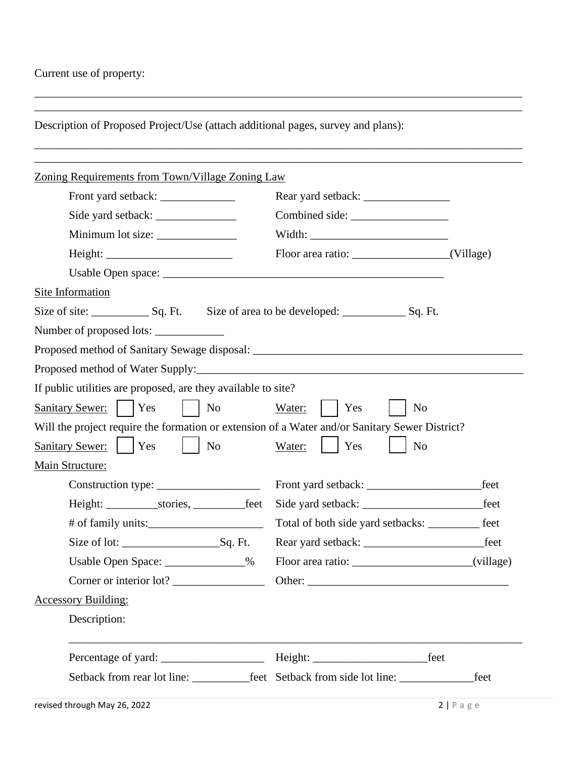## Current use of property:

Description of Proposed Project/Use (attach additional pages, survey and plans):

\_\_\_\_\_\_\_\_\_\_\_\_\_\_\_\_\_\_\_\_\_\_\_\_\_\_\_\_\_\_\_\_\_\_\_\_\_\_\_\_\_\_\_\_\_\_\_\_\_\_\_\_\_\_\_\_\_\_\_\_\_\_\_\_\_\_\_\_\_\_\_\_\_\_\_\_\_\_\_\_\_\_\_\_\_ \_\_\_\_\_\_\_\_\_\_\_\_\_\_\_\_\_\_\_\_\_\_\_\_\_\_\_\_\_\_\_\_\_\_\_\_\_\_\_\_\_\_\_\_\_\_\_\_\_\_\_\_\_\_\_\_\_\_\_\_\_\_\_\_\_\_\_\_\_\_\_\_\_\_\_\_\_\_\_\_\_\_\_\_\_

| Zoning Requirements from Town/Village Zoning Law                                               |                |                                                                                         |             |
|------------------------------------------------------------------------------------------------|----------------|-----------------------------------------------------------------------------------------|-------------|
| Side yard setback:<br>Minimum lot size: _______________                                        |                |                                                                                         |             |
|                                                                                                |                |                                                                                         |             |
|                                                                                                |                |                                                                                         |             |
|                                                                                                |                |                                                                                         |             |
|                                                                                                |                |                                                                                         |             |
| Site Information                                                                               |                |                                                                                         |             |
| Size of site: Size of area to be developed: Size of area to be developed: Sq. Ft.              |                |                                                                                         |             |
| Number of proposed lots:                                                                       |                |                                                                                         |             |
|                                                                                                |                |                                                                                         |             |
|                                                                                                |                |                                                                                         |             |
| If public utilities are proposed, are they available to site?                                  |                |                                                                                         |             |
| Sanitary Sewer:     Yes                                                                        | N <sub>0</sub> | Water:<br>Yes<br>N <sub>o</sub>                                                         |             |
| Will the project require the formation or extension of a Water and/or Sanitary Sewer District? |                |                                                                                         |             |
| <b>Sanitary Sewer:</b><br><b>Yes</b><br>  No                                                   |                | Water:<br>Yes<br>N <sub>o</sub>                                                         |             |
| Main Structure:                                                                                |                |                                                                                         |             |
|                                                                                                |                |                                                                                         | feet        |
|                                                                                                |                | Side yard setback:                                                                      | feet        |
|                                                                                                |                | Total of both side yard setbacks: __________                                            | feet        |
|                                                                                                |                |                                                                                         | _feet       |
| Usable Open Space: ______________%                                                             |                |                                                                                         | (village)   |
| Corner or interior lot?                                                                        |                | Other:                                                                                  |             |
| <b>Accessory Building:</b>                                                                     |                |                                                                                         |             |
| Description:                                                                                   |                |                                                                                         |             |
|                                                                                                |                | feet                                                                                    |             |
|                                                                                                |                | Setback from rear lot line: _____________feet Setback from side lot line: _____________ | feet        |
| revised through May 26, 2022                                                                   |                |                                                                                         | 2   P a g e |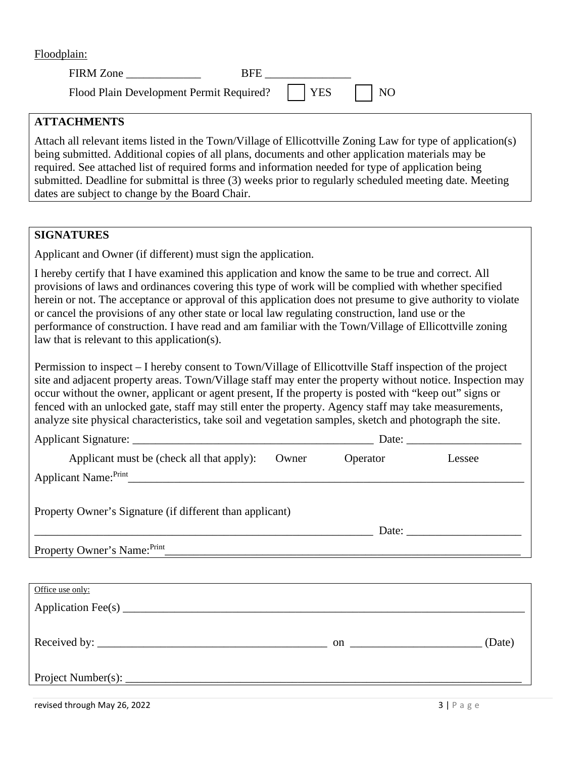Floodplain:

| FIRM Zone                                             | <b>RFE</b> |  |
|-------------------------------------------------------|------------|--|
| Flood Plain Development Permit Required?     YES   NO |            |  |

## **ATTACHMENTS**

Attach all relevant items listed in the Town/Village of Ellicottville Zoning Law for type of application(s) being submitted. Additional copies of all plans, documents and other application materials may be required. See attached list of required forms and information needed for type of application being submitted. Deadline for submittal is three (3) weeks prior to regularly scheduled meeting date. Meeting dates are subject to change by the Board Chair.

### **SIGNATURES**

Applicant and Owner (if different) must sign the application.

I hereby certify that I have examined this application and know the same to be true and correct. All provisions of laws and ordinances covering this type of work will be complied with whether specified herein or not. The acceptance or approval of this application does not presume to give authority to violate or cancel the provisions of any other state or local law regulating construction, land use or the performance of construction. I have read and am familiar with the Town/Village of Ellicottville zoning law that is relevant to this application(s).

Permission to inspect – I hereby consent to Town/Village of Ellicottville Staff inspection of the project site and adjacent property areas. Town/Village staff may enter the property without notice. Inspection may occur without the owner, applicant or agent present, If the property is posted with "keep out" signs or fenced with an unlocked gate, staff may still enter the property. Agency staff may take measurements, analyze site physical characteristics, take soil and vegetation samples, sketch and photograph the site.

| Applicant must be (check all that apply):                | Owner | Operator | Lessee |
|----------------------------------------------------------|-------|----------|--------|
|                                                          |       |          |        |
| Property Owner's Signature (if different than applicant) |       |          |        |
|                                                          |       |          |        |
| Property Owner's Name: Print                             |       |          |        |
|                                                          |       |          |        |
| Office use only:                                         |       |          |        |
|                                                          |       |          |        |
|                                                          |       |          |        |
|                                                          |       |          | (Date) |
|                                                          |       |          |        |
|                                                          |       |          |        |

revised through May 26, 2022  $\qquad \qquad$  3 | P a g e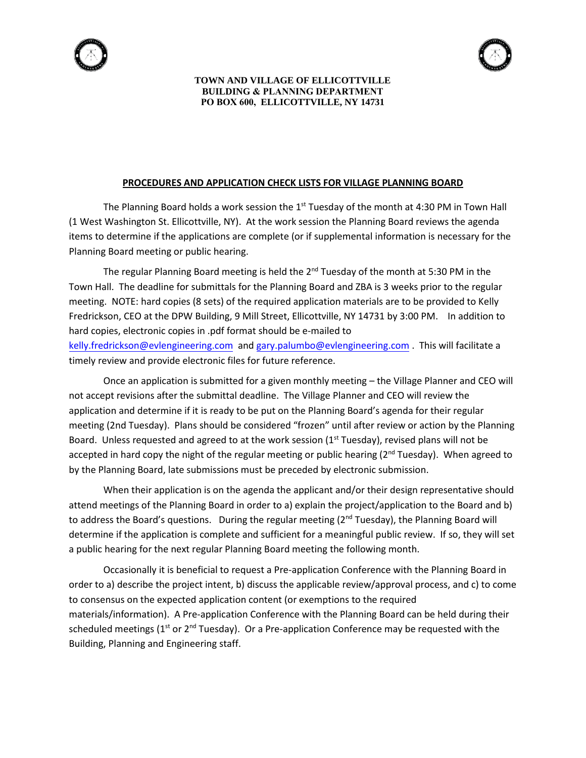

#### **TOWN AND VILLAGE OF ELLICOTTVILLE BUILDING & PLANNING DEPARTMENT PO BOX 600, ELLICOTTVILLE, NY 14731**

#### **PROCEDURES AND APPLICATION CHECK LISTS FOR VILLAGE PLANNING BOARD**

The Planning Board holds a work session the 1<sup>st</sup> Tuesday of the month at 4:30 PM in Town Hall (1 West Washington St. Ellicottville, NY). At the work session the Planning Board reviews the agenda items to determine if the applications are complete (or if supplemental information is necessary for the Planning Board meeting or public hearing.

The regular Planning Board meeting is held the 2<sup>nd</sup> Tuesday of the month at 5:30 PM in the Town Hall. The deadline for submittals for the Planning Board and ZBA is 3 weeks prior to the regular meeting. NOTE: hard copies (8 sets) of the required application materials are to be provided to Kelly Fredrickson, CEO at the DPW Building, 9 Mill Street, Ellicottville, NY 14731 by 3:00 PM. In addition to hard copies, electronic copies in .pdf format should be e-mailed to [kelly.fredrickson@evlengineering.com](mailto:kelly.fredrickson@evlengineering.com) and [gary.palumbo@](mailto:gary.palumbo@aecom.com)evlengineering.com . This will facilitate a timely review and provide electronic files for future reference.

Once an application is submitted for a given monthly meeting – the Village Planner and CEO will not accept revisions after the submittal deadline. The Village Planner and CEO will review the application and determine if it is ready to be put on the Planning Board's agenda for their regular meeting (2nd Tuesday). Plans should be considered "frozen" until after review or action by the Planning Board. Unless requested and agreed to at the work session  $(1<sup>st</sup> Tuesday)$ , revised plans will not be accepted in hard copy the night of the regular meeting or public hearing (2<sup>nd</sup> Tuesday). When agreed to by the Planning Board, late submissions must be preceded by electronic submission.

When their application is on the agenda the applicant and/or their design representative should attend meetings of the Planning Board in order to a) explain the project/application to the Board and b) to address the Board's questions. During the regular meeting (2<sup>nd</sup> Tuesday), the Planning Board will determine if the application is complete and sufficient for a meaningful public review. If so, they will set a public hearing for the next regular Planning Board meeting the following month.

Occasionally it is beneficial to request a Pre-application Conference with the Planning Board in order to a) describe the project intent, b) discuss the applicable review/approval process, and c) to come to consensus on the expected application content (or exemptions to the required materials/information). A Pre-application Conference with the Planning Board can be held during their scheduled meetings ( $1<sup>st</sup>$  or  $2<sup>nd</sup>$  Tuesday). Or a Pre-application Conference may be requested with the Building, Planning and Engineering staff.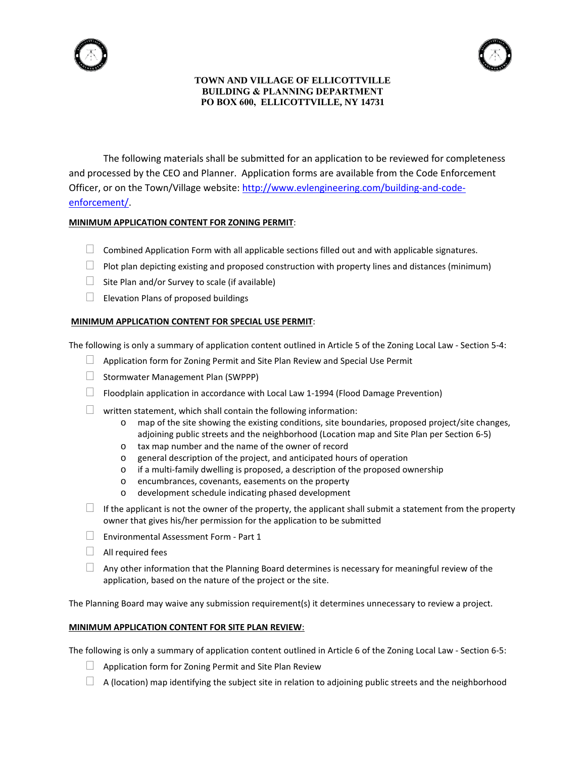

#### **TOWN AND VILLAGE OF ELLICOTTVILLE BUILDING & PLANNING DEPARTMENT PO BOX 600, ELLICOTTVILLE, NY 14731**

The following materials shall be submitted for an application to be reviewed for completeness and processed by the CEO and Planner. Application forms are available from the Code Enforcement Officer, or on the Town/Village website: [http://www.evlengineering.com/building-and-code](https://urldefense.proofpoint.com/v2/url?u=http-3A__www.evlengineering.com_building-2Dand-2Dcode-2Denforcement_&d=DwMFAg&c=TQzoP61-bYDBLzNd0XmHrw&r=yNHe8tkh7fibpP1C5y4iyQ8wuXakAA4qDJMwuRNFd4A&m=jC0cwiZ9SsPnAidM6g2T1z1B7S3YbuYrLAxknKvBXiw&s=Af-6HUGPUuKZD3unTY3QjLOumIJjUqr81oYwxMfw0Hw&e=)[enforcement/.](https://urldefense.proofpoint.com/v2/url?u=http-3A__www.evlengineering.com_building-2Dand-2Dcode-2Denforcement_&d=DwMFAg&c=TQzoP61-bYDBLzNd0XmHrw&r=yNHe8tkh7fibpP1C5y4iyQ8wuXakAA4qDJMwuRNFd4A&m=jC0cwiZ9SsPnAidM6g2T1z1B7S3YbuYrLAxknKvBXiw&s=Af-6HUGPUuKZD3unTY3QjLOumIJjUqr81oYwxMfw0Hw&e=)

#### **MINIMUM APPLICATION CONTENT FOR ZONING PERMIT**:

- $\Box$  Combined Application Form with all applicable sections filled out and with applicable signatures.
- $\Box$  Plot plan depicting existing and proposed construction with property lines and distances (minimum)
- $\Box$  Site Plan and/or Survey to scale (if available)
- $\Box$  Elevation Plans of proposed buildings

#### **MINIMUM APPLICATION CONTENT FOR SPECIAL USE PERMIT**:

The following is only a summary of application content outlined in Article 5 of the Zoning Local Law - Section 5-4:

- $\Box$  Application form for Zoning Permit and Site Plan Review and Special Use Permit
- $\Box$  Stormwater Management Plan (SWPPP)
- $\Box$  Floodplain application in accordance with Local Law 1-1994 (Flood Damage Prevention)
- $\Box$  written statement, which shall contain the following information:
	- o map of the site showing the existing conditions, site boundaries, proposed project/site changes, adjoining public streets and the neighborhood (Location map and Site Plan per Section 6-5)
	- o tax map number and the name of the owner of record
	- o general description of the project, and anticipated hours of operation
	- o if a multi-family dwelling is proposed, a description of the proposed ownership
	- o encumbrances, covenants, easements on the property
	- o development schedule indicating phased development
- $\Box$  If the applicant is not the owner of the property, the applicant shall submit a statement from the property owner that gives his/her permission for the application to be submitted
- Environmental Assessment Form Part 1
- $\Box$  All required fees
- $\Box$  Any other information that the Planning Board determines is necessary for meaningful review of the application, based on the nature of the project or the site.

The Planning Board may waive any submission requirement(s) it determines unnecessary to review a project.

#### **MINIMUM APPLICATION CONTENT FOR SITE PLAN REVIEW**:

The following is only a summary of application content outlined in Article 6 of the Zoning Local Law - Section 6-5:

- $\Box$  Application form for Zoning Permit and Site Plan Review
- $\Box$  A (location) map identifying the subject site in relation to adjoining public streets and the neighborhood